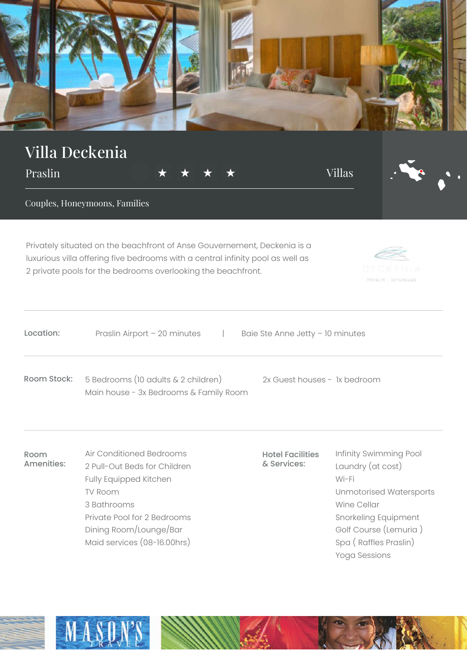

Yoga Sessions